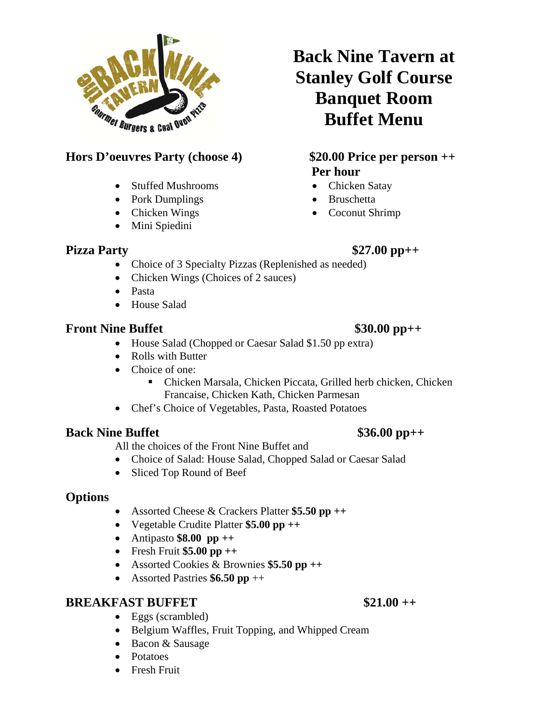

### **Hors D'oeuvres Party (choose 4) \$20.00 Price per person ++**

- Stuffed Mushrooms
- Pork Dumplings
- Chicken Wings
- Mini Spiedini

## **Back Nine Tavern at Stanley Golf Course Banquet Room Buffet Menu**

# **Per hour**

- Chicken Satay
- Bruschetta
- Coconut Shrimp

### **Pizza Party** \$27.00 pp++

- Choice of 3 Specialty Pizzas (Replenished as needed)
- Chicken Wings (Choices of 2 sauces)
- Pasta
- House Salad

### **Front Nine Buffet** \$30.00 pp++

### • House Salad (Chopped or Caesar Salad \$1.50 pp extra)

- Rolls with Butter
- Choice of one:
	- Chicken Marsala, Chicken Piccata, Grilled herb chicken, Chicken Francaise, Chicken Kath, Chicken Parmesan
- Chef's Choice of Vegetables, Pasta, Roasted Potatoes

### **Back Nine Buffet** \$36.00 pp++

All the choices of the Front Nine Buffet and

- Choice of Salad: House Salad, Chopped Salad or Caesar Salad
- Sliced Top Round of Beef

### **Options**

- Assorted Cheese & Crackers Platter **\$5.50 pp ++**
- Vegetable Crudite Platter **\$5.00 pp ++**
- Antipasto **\$8.00 pp ++**
- Fresh Fruit **\$5.00 pp ++**
- Assorted Cookies & Brownies **\$5.50 pp ++**
- Assorted Pastries **\$6.50 pp** ++

### **BREAKFAST BUFFET** \$21.00 ++

- Eggs (scrambled)
- Belgium Waffles, Fruit Topping, and Whipped Cream
- Bacon & Sausage
- Potatoes
- **•** Fresh Fruit